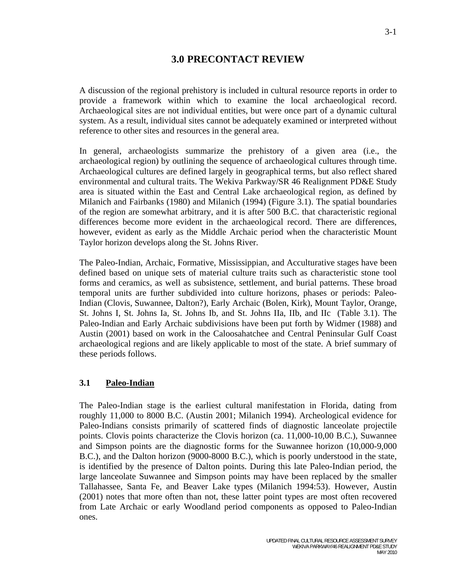# **3.0 PRECONTACT REVIEW**

A discussion of the regional prehistory is included in cultural resource reports in order to provide a framework within which to examine the local archaeological record. Archaeological sites are not individual entities, but were once part of a dynamic cultural system. As a result, individual sites cannot be adequately examined or interpreted without reference to other sites and resources in the general area.

In general, archaeologists summarize the prehistory of a given area (i.e., the archaeological region) by outlining the sequence of archaeological cultures through time. Archaeological cultures are defined largely in geographical terms, but also reflect shared environmental and cultural traits. The Wekiva Parkway/SR 46 Realignment PD&E Study area is situated within the East and Central Lake archaeological region, as defined by Milanich and Fairbanks (1980) and Milanich (1994) (Figure 3.1). The spatial boundaries of the region are somewhat arbitrary, and it is after 500 B.C. that characteristic regional differences become more evident in the archaeological record. There are differences, however, evident as early as the Middle Archaic period when the characteristic Mount Taylor horizon develops along the St. Johns River.

The Paleo-Indian, Archaic, Formative, Mississippian, and Acculturative stages have been defined based on unique sets of material culture traits such as characteristic stone tool forms and ceramics, as well as subsistence, settlement, and burial patterns. These broad temporal units are further subdivided into culture horizons, phases or periods: Paleo-Indian (Clovis, Suwannee, Dalton?), Early Archaic (Bolen, Kirk), Mount Taylor, Orange, St. Johns I, St. Johns Ia, St. Johns Ib, and St. Johns IIa, IIb, and IIc (Table 3.1). The Paleo-Indian and Early Archaic subdivisions have been put forth by Widmer (1988) and Austin (2001) based on work in the Caloosahatchee and Central Peninsular Gulf Coast archaeological regions and are likely applicable to most of the state. A brief summary of these periods follows.

## **3.1 Paleo-Indian**

The Paleo-Indian stage is the earliest cultural manifestation in Florida, dating from roughly 11,000 to 8000 B.C. (Austin 2001; Milanich 1994). Archeological evidence for Paleo-Indians consists primarily of scattered finds of diagnostic lanceolate projectile points. Clovis points characterize the Clovis horizon (ca. 11,000-10,00 B.C.), Suwannee and Simpson points are the diagnostic forms for the Suwannee horizon (10,000-9,000 B.C.), and the Dalton horizon (9000-8000 B.C.), which is poorly understood in the state, is identified by the presence of Dalton points. During this late Paleo-Indian period, the large lanceolate Suwannee and Simpson points may have been replaced by the smaller Tallahassee, Santa Fe, and Beaver Lake types (Milanich 1994:53). However, Austin (2001) notes that more often than not, these latter point types are most often recovered from Late Archaic or early Woodland period components as opposed to Paleo-Indian ones.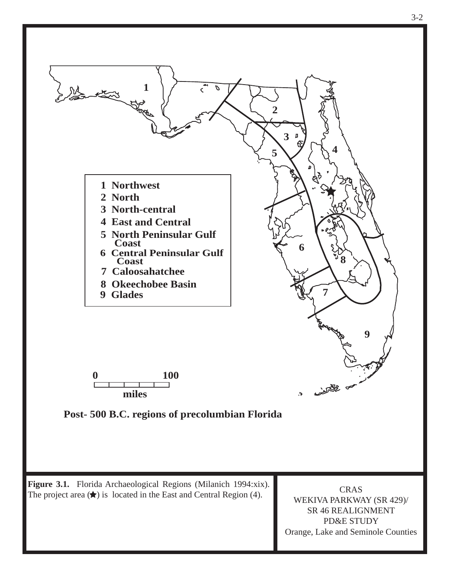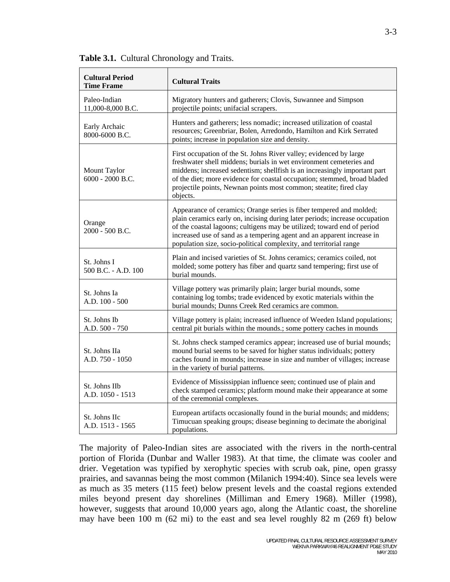| <b>Cultural Period</b><br><b>Time Frame</b> | <b>Cultural Traits</b>                                                                                                                                                                                                                                                                                                                                                               |
|---------------------------------------------|--------------------------------------------------------------------------------------------------------------------------------------------------------------------------------------------------------------------------------------------------------------------------------------------------------------------------------------------------------------------------------------|
| Paleo-Indian<br>11,000-8,000 B.C.           | Migratory hunters and gatherers; Clovis, Suwannee and Simpson<br>projectile points; unifacial scrapers.                                                                                                                                                                                                                                                                              |
| Early Archaic<br>8000-6000 B.C.             | Hunters and gatherers; less nomadic; increased utilization of coastal<br>resources; Greenbriar, Bolen, Arredondo, Hamilton and Kirk Serrated<br>points; increase in population size and density.                                                                                                                                                                                     |
| Mount Taylor<br>6000 - 2000 B.C.            | First occupation of the St. Johns River valley; evidenced by large<br>freshwater shell middens; burials in wet environment cemeteries and<br>middens; increased sedentism; shellfish is an increasingly important part<br>of the diet; more evidence for coastal occupation; stemmed, broad bladed<br>projectile points, Newnan points most common; steatite; fired clay<br>objects. |
| Orange<br>2000 - 500 B.C.                   | Appearance of ceramics; Orange series is fiber tempered and molded;<br>plain ceramics early on, incising during later periods; increase occupation<br>of the coastal lagoons; cultigens may be utilized; toward end of period<br>increased use of sand as a tempering agent and an apparent increase in<br>population size, socio-political complexity, and territorial range        |
| St. Johns I<br>500 B.C. - A.D. 100          | Plain and incised varieties of St. Johns ceramics; ceramics coiled, not<br>molded; some pottery has fiber and quartz sand tempering; first use of<br>burial mounds.                                                                                                                                                                                                                  |
| St. Johns Ia<br>A.D. 100 - 500              | Village pottery was primarily plain; larger burial mounds, some<br>containing log tombs; trade evidenced by exotic materials within the<br>burial mounds; Dunns Creek Red ceramics are common.                                                                                                                                                                                       |
| St. Johns Ib<br>A.D. 500 - 750              | Village pottery is plain; increased influence of Weeden Island populations;<br>central pit burials within the mounds.; some pottery caches in mounds                                                                                                                                                                                                                                 |
| St. Johns IIa<br>A.D. 750 - 1050            | St. Johns check stamped ceramics appear; increased use of burial mounds;<br>mound burial seems to be saved for higher status individuals; pottery<br>caches found in mounds; increase in size and number of villages; increase<br>in the variety of burial patterns.                                                                                                                 |
| St. Johns IIb<br>A.D. 1050 - 1513           | Evidence of Mississippian influence seen; continued use of plain and<br>check stamped ceramics; platform mound make their appearance at some<br>of the ceremonial complexes.                                                                                                                                                                                                         |
| St. Johns IIc<br>A.D. 1513 - 1565           | European artifacts occasionally found in the burial mounds; and middens;<br>Timucuan speaking groups; disease beginning to decimate the aboriginal<br>populations.                                                                                                                                                                                                                   |

**Table 3.1.** Cultural Chronology and Traits.

The majority of Paleo-Indian sites are associated with the rivers in the north-central portion of Florida (Dunbar and Waller 1983). At that time, the climate was cooler and drier. Vegetation was typified by xerophytic species with scrub oak, pine, open grassy prairies, and savannas being the most common (Milanich 1994:40). Since sea levels were as much as 35 meters (115 feet) below present levels and the coastal regions extended miles beyond present day shorelines (Milliman and Emery 1968). Miller (1998), however, suggests that around 10,000 years ago, along the Atlantic coast, the shoreline may have been 100 m (62 mi) to the east and sea level roughly 82 m (269 ft) below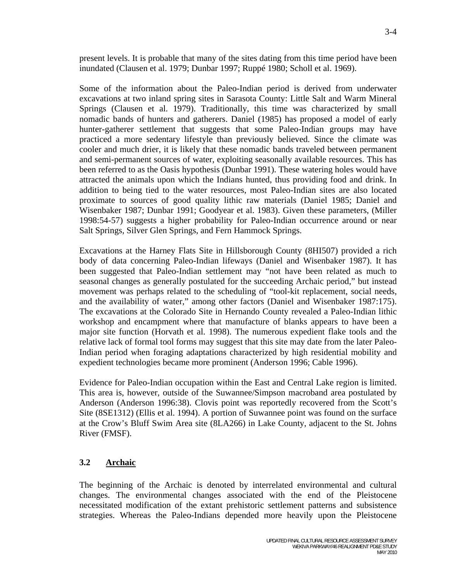present levels. It is probable that many of the sites dating from this time period have been inundated (Clausen et al. 1979; Dunbar 1997; Ruppé 1980; Scholl et al. 1969).

Some of the information about the Paleo-Indian period is derived from underwater excavations at two inland spring sites in Sarasota County: Little Salt and Warm Mineral Springs (Clausen et al. 1979). Traditionally, this time was characterized by small nomadic bands of hunters and gatherers. Daniel (1985) has proposed a model of early hunter-gatherer settlement that suggests that some Paleo-Indian groups may have practiced a more sedentary lifestyle than previously believed. Since the climate was cooler and much drier, it is likely that these nomadic bands traveled between permanent and semi-permanent sources of water, exploiting seasonally available resources. This has been referred to as the Oasis hypothesis (Dunbar 1991). These watering holes would have attracted the animals upon which the Indians hunted, thus providing food and drink. In addition to being tied to the water resources, most Paleo-Indian sites are also located proximate to sources of good quality lithic raw materials (Daniel 1985; Daniel and Wisenbaker 1987; Dunbar 1991; Goodyear et al. 1983). Given these parameters, (Miller 1998:54-57) suggests a higher probability for Paleo-Indian occurrence around or near Salt Springs, Silver Glen Springs, and Fern Hammock Springs.

Excavations at the Harney Flats Site in Hillsborough County (8HI507) provided a rich body of data concerning Paleo-Indian lifeways (Daniel and Wisenbaker 1987). It has been suggested that Paleo-Indian settlement may "not have been related as much to seasonal changes as generally postulated for the succeeding Archaic period," but instead movement was perhaps related to the scheduling of "tool-kit replacement, social needs, and the availability of water," among other factors (Daniel and Wisenbaker 1987:175). The excavations at the Colorado Site in Hernando County revealed a Paleo-Indian lithic workshop and encampment where that manufacture of blanks appears to have been a major site function (Horvath et al. 1998). The numerous expedient flake tools and the relative lack of formal tool forms may suggest that this site may date from the later Paleo-Indian period when foraging adaptations characterized by high residential mobility and expedient technologies became more prominent (Anderson 1996; Cable 1996).

Evidence for Paleo-Indian occupation within the East and Central Lake region is limited. This area is, however, outside of the Suwannee/Simpson macroband area postulated by Anderson (Anderson 1996:38). Clovis point was reportedly recovered from the Scott's Site (8SE1312) (Ellis et al. 1994). A portion of Suwannee point was found on the surface at the Crow's Bluff Swim Area site (8LA266) in Lake County, adjacent to the St. Johns River (FMSF).

## **3.2 Archaic**

The beginning of the Archaic is denoted by interrelated environmental and cultural changes. The environmental changes associated with the end of the Pleistocene necessitated modification of the extant prehistoric settlement patterns and subsistence strategies. Whereas the Paleo-Indians depended more heavily upon the Pleistocene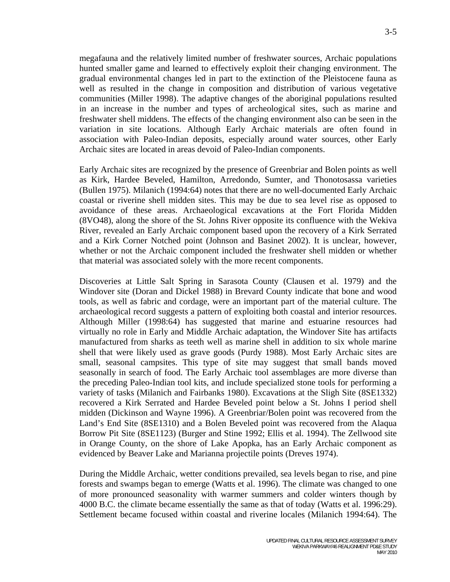megafauna and the relatively limited number of freshwater sources, Archaic populations hunted smaller game and learned to effectively exploit their changing environment. The gradual environmental changes led in part to the extinction of the Pleistocene fauna as well as resulted in the change in composition and distribution of various vegetative communities (Miller 1998). The adaptive changes of the aboriginal populations resulted in an increase in the number and types of archeological sites, such as marine and freshwater shell middens. The effects of the changing environment also can be seen in the variation in site locations. Although Early Archaic materials are often found in association with Paleo-Indian deposits, especially around water sources, other Early Archaic sites are located in areas devoid of Paleo-Indian components.

Early Archaic sites are recognized by the presence of Greenbriar and Bolen points as well as Kirk, Hardee Beveled, Hamilton, Arredondo, Sumter, and Thonotosassa varieties (Bullen 1975). Milanich (1994:64) notes that there are no well-documented Early Archaic coastal or riverine shell midden sites. This may be due to sea level rise as opposed to avoidance of these areas. Archaeological excavations at the Fort Florida Midden (8VO48), along the shore of the St. Johns River opposite its confluence with the Wekiva River, revealed an Early Archaic component based upon the recovery of a Kirk Serrated and a Kirk Corner Notched point (Johnson and Basinet 2002). It is unclear, however, whether or not the Archaic component included the freshwater shell midden or whether that material was associated solely with the more recent components.

Discoveries at Little Salt Spring in Sarasota County (Clausen et al. 1979) and the Windover site (Doran and Dickel 1988) in Brevard County indicate that bone and wood tools, as well as fabric and cordage, were an important part of the material culture. The archaeological record suggests a pattern of exploiting both coastal and interior resources. Although Miller (1998:64) has suggested that marine and estuarine resources had virtually no role in Early and Middle Archaic adaptation, the Windover Site has artifacts manufactured from sharks as teeth well as marine shell in addition to six whole marine shell that were likely used as grave goods (Purdy 1988). Most Early Archaic sites are small, seasonal campsites. This type of site may suggest that small bands moved seasonally in search of food. The Early Archaic tool assemblages are more diverse than the preceding Paleo-Indian tool kits, and include specialized stone tools for performing a variety of tasks (Milanich and Fairbanks 1980). Excavations at the Sligh Site (8SE1332) recovered a Kirk Serrated and Hardee Beveled point below a St. Johns I period shell midden (Dickinson and Wayne 1996). A Greenbriar/Bolen point was recovered from the Land's End Site (8SE1310) and a Bolen Beveled point was recovered from the Alaqua Borrow Pit Site (8SE1123) (Burger and Stine 1992; Ellis et al. 1994). The Zellwood site in Orange County, on the shore of Lake Apopka, has an Early Archaic component as evidenced by Beaver Lake and Marianna projectile points (Dreves 1974).

During the Middle Archaic, wetter conditions prevailed, sea levels began to rise, and pine forests and swamps began to emerge (Watts et al. 1996). The climate was changed to one of more pronounced seasonality with warmer summers and colder winters though by 4000 B.C. the climate became essentially the same as that of today (Watts et al. 1996:29). Settlement became focused within coastal and riverine locales (Milanich 1994:64). The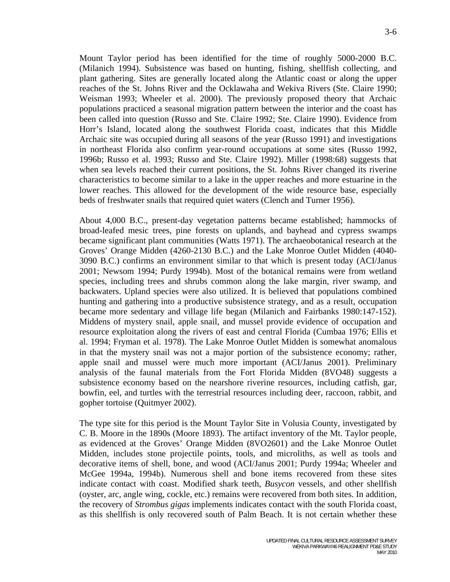Mount Taylor period has been identified for the time of roughly 5000-2000 B.C. (Milanich 1994). Subsistence was based on hunting, fishing, shellfish collecting, and plant gathering. Sites are generally located along the Atlantic coast or along the upper reaches of the St. Johns River and the Ocklawaha and Wekiva Rivers (Ste. Claire 1990; Weisman 1993; Wheeler et al. 2000). The previously proposed theory that Archaic populations practiced a seasonal migration pattern between the interior and the coast has been called into question (Russo and Ste. Claire 1992; Ste. Claire 1990). Evidence from Horr's Island, located along the southwest Florida coast, indicates that this Middle Archaic site was occupied during all seasons of the year (Russo 1991) and investigations in northeast Florida also confirm year-round occupations at some sites (Russo 1992, 1996b; Russo et al. 1993; Russo and Ste. Claire 1992). Miller (1998:68) suggests that when sea levels reached their current positions, the St. Johns River changed its riverine characteristics to become similar to a lake in the upper reaches and more estuarine in the lower reaches. This allowed for the development of the wide resource base, especially beds of freshwater snails that required quiet waters (Clench and Turner 1956).

About 4,000 B.C., present-day vegetation patterns became established; hammocks of broad-leafed mesic trees, pine forests on uplands, and bayhead and cypress swamps became significant plant communities (Watts 1971). The archaeobotanical research at the Groves' Orange Midden (4260-2130 B.C.) and the Lake Monroe Outlet Midden (4040- 3090 B.C.) confirms an environment similar to that which is present today (ACI/Janus 2001; Newsom 1994; Purdy 1994b). Most of the botanical remains were from wetland species, including trees and shrubs common along the lake margin, river swamp, and backwaters. Upland species were also utilized. It is believed that populations combined hunting and gathering into a productive subsistence strategy, and as a result, occupation became more sedentary and village life began (Milanich and Fairbanks 1980:147-152). Middens of mystery snail, apple snail, and mussel provide evidence of occupation and resource exploitation along the rivers of east and central Florida (Cumbaa 1976; Ellis et al. 1994; Fryman et al. 1978). The Lake Monroe Outlet Midden is somewhat anomalous in that the mystery snail was not a major portion of the subsistence economy; rather, apple snail and mussel were much more important (ACI/Janus 2001). Preliminary analysis of the faunal materials from the Fort Florida Midden (8VO48) suggests a subsistence economy based on the nearshore riverine resources, including catfish, gar, bowfin, eel, and turtles with the terrestrial resources including deer, raccoon, rabbit, and gopher tortoise (Quitmyer 2002).

The type site for this period is the Mount Taylor Site in Volusia County, investigated by C. B. Moore in the 1890s (Moore 1893). The artifact inventory of the Mt. Taylor people, as evidenced at the Groves' Orange Midden (8VO2601) and the Lake Monroe Outlet Midden, includes stone projectile points, tools, and microliths, as well as tools and decorative items of shell, bone, and wood (ACI/Janus 2001; Purdy 1994a; Wheeler and McGee 1994a, 1994b). Numerous shell and bone items recovered from these sites indicate contact with coast. Modified shark teeth, *Busycon* vessels, and other shellfish (oyster, arc, angle wing, cockle, etc.) remains were recovered from both sites. In addition, the recovery of *Strombus gigas* implements indicates contact with the south Florida coast, as this shellfish is only recovered south of Palm Beach. It is not certain whether these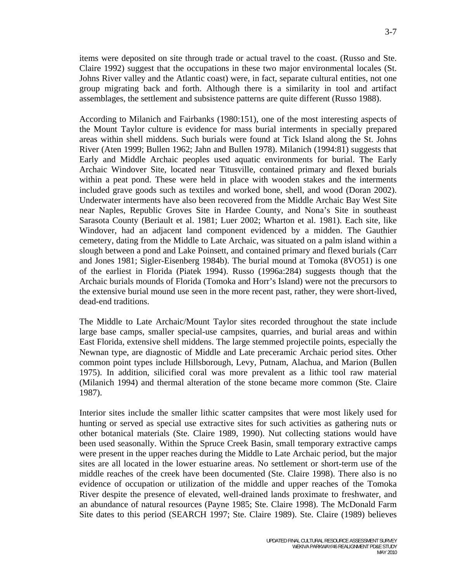items were deposited on site through trade or actual travel to the coast. (Russo and Ste. Claire 1992) suggest that the occupations in these two major environmental locales (St. Johns River valley and the Atlantic coast) were, in fact, separate cultural entities, not one group migrating back and forth. Although there is a similarity in tool and artifact assemblages, the settlement and subsistence patterns are quite different (Russo 1988).

According to Milanich and Fairbanks (1980:151), one of the most interesting aspects of the Mount Taylor culture is evidence for mass burial interments in specially prepared areas within shell middens. Such burials were found at Tick Island along the St. Johns River (Aten 1999; Bullen 1962; Jahn and Bullen 1978). Milanich (1994:81) suggests that Early and Middle Archaic peoples used aquatic environments for burial. The Early Archaic Windover Site, located near Titusville, contained primary and flexed burials within a peat pond. These were held in place with wooden stakes and the interments included grave goods such as textiles and worked bone, shell, and wood (Doran 2002). Underwater interments have also been recovered from the Middle Archaic Bay West Site near Naples, Republic Groves Site in Hardee County, and Nona's Site in southeast Sarasota County (Beriault et al. 1981; Luer 2002; Wharton et al. 1981). Each site, like Windover, had an adjacent land component evidenced by a midden. The Gauthier cemetery, dating from the Middle to Late Archaic, was situated on a palm island within a slough between a pond and Lake Poinsett, and contained primary and flexed burials (Carr and Jones 1981; Sigler-Eisenberg 1984b). The burial mound at Tomoka (8VO51) is one of the earliest in Florida (Piatek 1994). Russo (1996a:284) suggests though that the Archaic burials mounds of Florida (Tomoka and Horr's Island) were not the precursors to the extensive burial mound use seen in the more recent past, rather, they were short-lived, dead-end traditions.

The Middle to Late Archaic/Mount Taylor sites recorded throughout the state include large base camps, smaller special-use campsites, quarries, and burial areas and within East Florida, extensive shell middens. The large stemmed projectile points, especially the Newnan type, are diagnostic of Middle and Late preceramic Archaic period sites. Other common point types include Hillsborough, Levy, Putnam, Alachua, and Marion (Bullen 1975). In addition, silicified coral was more prevalent as a lithic tool raw material (Milanich 1994) and thermal alteration of the stone became more common (Ste. Claire 1987).

Interior sites include the smaller lithic scatter campsites that were most likely used for hunting or served as special use extractive sites for such activities as gathering nuts or other botanical materials (Ste. Claire 1989, 1990). Nut collecting stations would have been used seasonally. Within the Spruce Creek Basin, small temporary extractive camps were present in the upper reaches during the Middle to Late Archaic period, but the major sites are all located in the lower estuarine areas. No settlement or short-term use of the middle reaches of the creek have been documented (Ste. Claire 1998). There also is no evidence of occupation or utilization of the middle and upper reaches of the Tomoka River despite the presence of elevated, well-drained lands proximate to freshwater, and an abundance of natural resources (Payne 1985; Ste. Claire 1998). The McDonald Farm Site dates to this period (SEARCH 1997; Ste. Claire 1989). Ste. Claire (1989) believes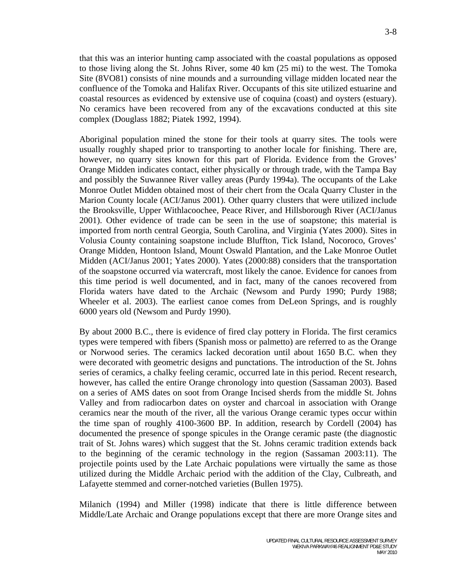that this was an interior hunting camp associated with the coastal populations as opposed to those living along the St. Johns River, some 40 km (25 mi) to the west. The Tomoka Site (8VO81) consists of nine mounds and a surrounding village midden located near the confluence of the Tomoka and Halifax River. Occupants of this site utilized estuarine and coastal resources as evidenced by extensive use of coquina (coast) and oysters (estuary). No ceramics have been recovered from any of the excavations conducted at this site complex (Douglass 1882; Piatek 1992, 1994).

Aboriginal population mined the stone for their tools at quarry sites. The tools were usually roughly shaped prior to transporting to another locale for finishing. There are, however, no quarry sites known for this part of Florida. Evidence from the Groves' Orange Midden indicates contact, either physically or through trade, with the Tampa Bay and possibly the Suwannee River valley areas (Purdy 1994a). The occupants of the Lake Monroe Outlet Midden obtained most of their chert from the Ocala Quarry Cluster in the Marion County locale (ACI/Janus 2001). Other quarry clusters that were utilized include the Brooksville, Upper Withlacoochee, Peace River, and Hillsborough River (ACI/Janus 2001). Other evidence of trade can be seen in the use of soapstone; this material is imported from north central Georgia, South Carolina, and Virginia (Yates 2000). Sites in Volusia County containing soapstone include Bluffton, Tick Island, Nocoroco, Groves' Orange Midden, Hontoon Island, Mount Oswald Plantation, and the Lake Monroe Outlet Midden (ACI/Janus 2001; Yates 2000). Yates (2000:88) considers that the transportation of the soapstone occurred via watercraft, most likely the canoe. Evidence for canoes from this time period is well documented, and in fact, many of the canoes recovered from Florida waters have dated to the Archaic (Newsom and Purdy 1990; Purdy 1988; Wheeler et al. 2003). The earliest canoe comes from DeLeon Springs, and is roughly 6000 years old (Newsom and Purdy 1990).

By about 2000 B.C., there is evidence of fired clay pottery in Florida. The first ceramics types were tempered with fibers (Spanish moss or palmetto) are referred to as the Orange or Norwood series. The ceramics lacked decoration until about 1650 B.C. when they were decorated with geometric designs and punctations. The introduction of the St. Johns series of ceramics, a chalky feeling ceramic, occurred late in this period. Recent research, however, has called the entire Orange chronology into question (Sassaman 2003). Based on a series of AMS dates on soot from Orange Incised sherds from the middle St. Johns Valley and from radiocarbon dates on oyster and charcoal in association with Orange ceramics near the mouth of the river, all the various Orange ceramic types occur within the time span of roughly 4100-3600 BP. In addition, research by Cordell (2004) has documented the presence of sponge spicules in the Orange ceramic paste (the diagnostic trait of St. Johns wares) which suggest that the St. Johns ceramic tradition extends back to the beginning of the ceramic technology in the region (Sassaman 2003:11). The projectile points used by the Late Archaic populations were virtually the same as those utilized during the Middle Archaic period with the addition of the Clay, Culbreath, and Lafayette stemmed and corner-notched varieties (Bullen 1975).

Milanich (1994) and Miller (1998) indicate that there is little difference between Middle/Late Archaic and Orange populations except that there are more Orange sites and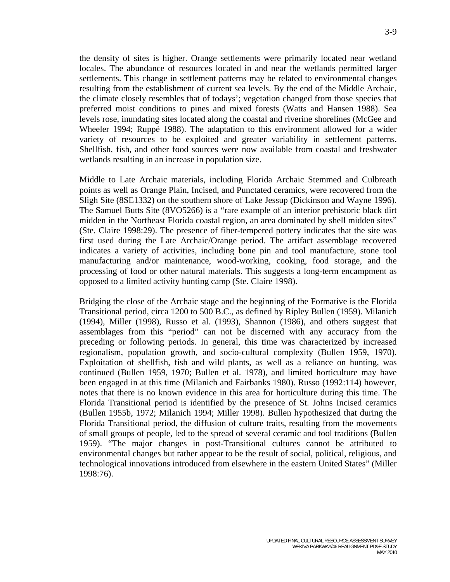the density of sites is higher. Orange settlements were primarily located near wetland locales. The abundance of resources located in and near the wetlands permitted larger settlements. This change in settlement patterns may be related to environmental changes resulting from the establishment of current sea levels. By the end of the Middle Archaic, the climate closely resembles that of todays'; vegetation changed from those species that preferred moist conditions to pines and mixed forests (Watts and Hansen 1988). Sea levels rose, inundating sites located along the coastal and riverine shorelines (McGee and Wheeler 1994; Ruppé 1988). The adaptation to this environment allowed for a wider variety of resources to be exploited and greater variability in settlement patterns. Shellfish, fish, and other food sources were now available from coastal and freshwater wetlands resulting in an increase in population size.

Middle to Late Archaic materials, including Florida Archaic Stemmed and Culbreath points as well as Orange Plain, Incised, and Punctated ceramics, were recovered from the Sligh Site (8SE1332) on the southern shore of Lake Jessup (Dickinson and Wayne 1996). The Samuel Butts Site (8VO5266) is a "rare example of an interior prehistoric black dirt midden in the Northeast Florida coastal region, an area dominated by shell midden sites" (Ste. Claire 1998:29). The presence of fiber-tempered pottery indicates that the site was first used during the Late Archaic/Orange period. The artifact assemblage recovered indicates a variety of activities, including bone pin and tool manufacture, stone tool manufacturing and/or maintenance, wood-working, cooking, food storage, and the processing of food or other natural materials. This suggests a long-term encampment as opposed to a limited activity hunting camp (Ste. Claire 1998).

Bridging the close of the Archaic stage and the beginning of the Formative is the Florida Transitional period, circa 1200 to 500 B.C., as defined by Ripley Bullen (1959). Milanich (1994), Miller (1998), Russo et al. (1993), Shannon (1986), and others suggest that assemblages from this "period" can not be discerned with any accuracy from the preceding or following periods. In general, this time was characterized by increased regionalism, population growth, and socio-cultural complexity (Bullen 1959, 1970). Exploitation of shellfish, fish and wild plants, as well as a reliance on hunting, was continued (Bullen 1959, 1970; Bullen et al. 1978), and limited horticulture may have been engaged in at this time (Milanich and Fairbanks 1980). Russo (1992:114) however, notes that there is no known evidence in this area for horticulture during this time. The Florida Transitional period is identified by the presence of St. Johns Incised ceramics (Bullen 1955b, 1972; Milanich 1994; Miller 1998). Bullen hypothesized that during the Florida Transitional period, the diffusion of culture traits, resulting from the movements of small groups of people, led to the spread of several ceramic and tool traditions (Bullen 1959). "The major changes in post-Transitional cultures cannot be attributed to environmental changes but rather appear to be the result of social, political, religious, and technological innovations introduced from elsewhere in the eastern United States" (Miller 1998:76).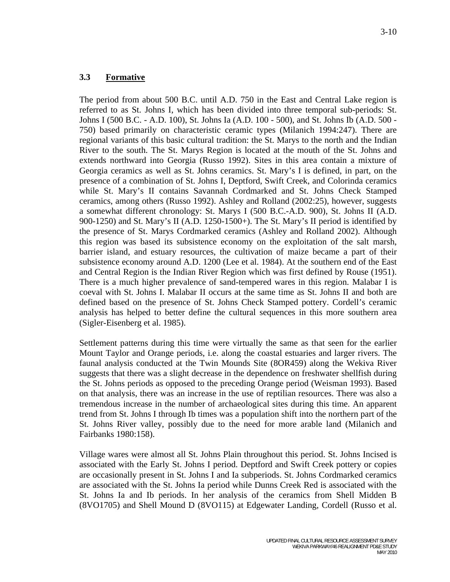### **3.3 Formative**

The period from about 500 B.C. until A.D. 750 in the East and Central Lake region is referred to as St. Johns I, which has been divided into three temporal sub-periods: St. Johns I (500 B.C. - A.D. 100), St. Johns Ia (A.D. 100 - 500), and St. Johns Ib (A.D. 500 - 750) based primarily on characteristic ceramic types (Milanich 1994:247). There are regional variants of this basic cultural tradition: the St. Marys to the north and the Indian River to the south. The St. Marys Region is located at the mouth of the St. Johns and extends northward into Georgia (Russo 1992). Sites in this area contain a mixture of Georgia ceramics as well as St. Johns ceramics. St. Mary's I is defined, in part, on the presence of a combination of St. Johns I, Deptford, Swift Creek, and Colorinda ceramics while St. Mary's II contains Savannah Cordmarked and St. Johns Check Stamped ceramics, among others (Russo 1992). Ashley and Rolland (2002:25), however, suggests a somewhat different chronology: St. Marys I (500 B.C.-A.D. 900), St. Johns II (A.D. 900-1250) and St. Mary's II (A.D. 1250-1500+). The St. Mary's II period is identified by the presence of St. Marys Cordmarked ceramics (Ashley and Rolland 2002). Although this region was based its subsistence economy on the exploitation of the salt marsh, barrier island, and estuary resources, the cultivation of maize became a part of their subsistence economy around A.D. 1200 (Lee et al. 1984). At the southern end of the East and Central Region is the Indian River Region which was first defined by Rouse (1951). There is a much higher prevalence of sand-tempered wares in this region. Malabar I is coeval with St. Johns I. Malabar II occurs at the same time as St. Johns II and both are defined based on the presence of St. Johns Check Stamped pottery. Cordell's ceramic analysis has helped to better define the cultural sequences in this more southern area (Sigler-Eisenberg et al. 1985).

Settlement patterns during this time were virtually the same as that seen for the earlier Mount Taylor and Orange periods, i.e. along the coastal estuaries and larger rivers. The faunal analysis conducted at the Twin Mounds Site (8OR459) along the Wekiva River suggests that there was a slight decrease in the dependence on freshwater shellfish during the St. Johns periods as opposed to the preceding Orange period (Weisman 1993). Based on that analysis, there was an increase in the use of reptilian resources. There was also a tremendous increase in the number of archaeological sites during this time. An apparent trend from St. Johns I through Ib times was a population shift into the northern part of the St. Johns River valley, possibly due to the need for more arable land (Milanich and Fairbanks 1980:158).

Village wares were almost all St. Johns Plain throughout this period. St. Johns Incised is associated with the Early St. Johns I period. Deptford and Swift Creek pottery or copies are occasionally present in St. Johns I and Ia subperiods. St. Johns Cordmarked ceramics are associated with the St. Johns Ia period while Dunns Creek Red is associated with the St. Johns Ia and Ib periods. In her analysis of the ceramics from Shell Midden B (8VO1705) and Shell Mound D (8VO115) at Edgewater Landing, Cordell (Russo et al.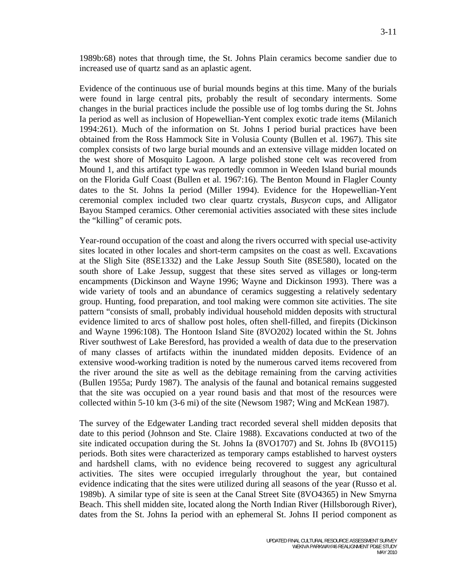1989b:68) notes that through time, the St. Johns Plain ceramics become sandier due to increased use of quartz sand as an aplastic agent.

Evidence of the continuous use of burial mounds begins at this time. Many of the burials were found in large central pits, probably the result of secondary interments. Some changes in the burial practices include the possible use of log tombs during the St. Johns Ia period as well as inclusion of Hopewellian-Yent complex exotic trade items (Milanich 1994:261). Much of the information on St. Johns I period burial practices have been obtained from the Ross Hammock Site in Volusia County (Bullen et al. 1967). This site complex consists of two large burial mounds and an extensive village midden located on the west shore of Mosquito Lagoon. A large polished stone celt was recovered from Mound 1, and this artifact type was reportedly common in Weeden Island burial mounds on the Florida Gulf Coast (Bullen et al. 1967:16). The Benton Mound in Flagler County dates to the St. Johns Ia period (Miller 1994). Evidence for the Hopewellian-Yent ceremonial complex included two clear quartz crystals, *Busycon* cups, and Alligator Bayou Stamped ceramics. Other ceremonial activities associated with these sites include the "killing" of ceramic pots.

Year-round occupation of the coast and along the rivers occurred with special use-activity sites located in other locales and short-term campsites on the coast as well. Excavations at the Sligh Site (8SE1332) and the Lake Jessup South Site (8SE580), located on the south shore of Lake Jessup, suggest that these sites served as villages or long-term encampments (Dickinson and Wayne 1996; Wayne and Dickinson 1993). There was a wide variety of tools and an abundance of ceramics suggesting a relatively sedentary group. Hunting, food preparation, and tool making were common site activities. The site pattern "consists of small, probably individual household midden deposits with structural evidence limited to arcs of shallow post holes, often shell-filled, and firepits (Dickinson and Wayne 1996:108). The Hontoon Island Site (8VO202) located within the St. Johns River southwest of Lake Beresford, has provided a wealth of data due to the preservation of many classes of artifacts within the inundated midden deposits. Evidence of an extensive wood-working tradition is noted by the numerous carved items recovered from the river around the site as well as the debitage remaining from the carving activities (Bullen 1955a; Purdy 1987). The analysis of the faunal and botanical remains suggested that the site was occupied on a year round basis and that most of the resources were collected within 5-10 km (3-6 mi) of the site (Newsom 1987; Wing and McKean 1987).

The survey of the Edgewater Landing tract recorded several shell midden deposits that date to this period (Johnson and Ste. Claire 1988). Excavations conducted at two of the site indicated occupation during the St. Johns Ia (8VO1707) and St. Johns Ib (8VO115) periods. Both sites were characterized as temporary camps established to harvest oysters and hardshell clams, with no evidence being recovered to suggest any agricultural activities. The sites were occupied irregularly throughout the year, but contained evidence indicating that the sites were utilized during all seasons of the year (Russo et al. 1989b). A similar type of site is seen at the Canal Street Site (8VO4365) in New Smyrna Beach. This shell midden site, located along the North Indian River (Hillsborough River), dates from the St. Johns Ia period with an ephemeral St. Johns II period component as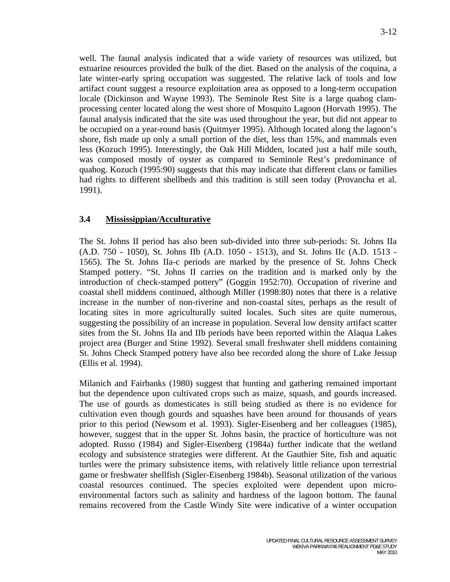well. The faunal analysis indicated that a wide variety of resources was utilized, but estuarine resources provided the bulk of the diet. Based on the analysis of the coquina, a late winter-early spring occupation was suggested. The relative lack of tools and low artifact count suggest a resource exploitation area as opposed to a long-term occupation locale (Dickinson and Wayne 1993). The Seminole Rest Site is a large quahog clamprocessing center located along the west shore of Mosquito Lagoon (Horvath 1995). The faunal analysis indicated that the site was used throughout the year, but did not appear to be occupied on a year-round basis (Quitmyer 1995). Although located along the lagoon's shore, fish made up only a small portion of the diet, less than 15%, and mammals even less (Kozuch 1995). Interestingly, the Oak Hill Midden, located just a half mile south, was composed mostly of oyster as compared to Seminole Rest's predominance of quahog. Kozuch (1995:90) suggests that this may indicate that different clans or families had rights to different shellbeds and this tradition is still seen today (Provancha et al. 1991).

## **3.4 Mississippian/Acculturative**

The St. Johns II period has also been sub-divided into three sub-periods: St. Johns IIa (A.D. 750 - 1050), St. Johns IIb (A.D. 1050 - 1513), and St. Johns IIc (A.D. 1513 - 1565). The St. Johns IIa-c periods are marked by the presence of St. Johns Check Stamped pottery. "St. Johns II carries on the tradition and is marked only by the introduction of check-stamped pottery" (Goggin 1952:70). Occupation of riverine and coastal shell middens continued, although Miller (1998:80) notes that there is a relative increase in the number of non-riverine and non-coastal sites, perhaps as the result of locating sites in more agriculturally suited locales. Such sites are quite numerous, suggesting the possibility of an increase in population. Several low density artifact scatter sites from the St. Johns IIa and IIb periods have been reported within the Alaqua Lakes project area (Burger and Stine 1992). Several small freshwater shell middens containing St. Johns Check Stamped pottery have also bee recorded along the shore of Lake Jessup (Ellis et al. 1994).

Milanich and Fairbanks (1980) suggest that hunting and gathering remained important but the dependence upon cultivated crops such as maize, squash, and gourds increased. The use of gourds as domesticates is still being studied as there is no evidence for cultivation even though gourds and squashes have been around for thousands of years prior to this period (Newsom et al. 1993). Sigler-Eisenberg and her colleagues (1985), however, suggest that in the upper St. Johns basin, the practice of horticulture was not adopted. Russo (1984) and Sigler-Eisenberg (1984a) further indicate that the wetland ecology and subsistence strategies were different. At the Gauthier Site, fish and aquatic turtles were the primary subsistence items, with relatively little reliance upon terrestrial game or freshwater shellfish (Sigler-Eisenberg 1984b). Seasonal utilization of the various coastal resources continued. The species exploited were dependent upon microenvironmental factors such as salinity and hardness of the lagoon bottom. The faunal remains recovered from the Castle Windy Site were indicative of a winter occupation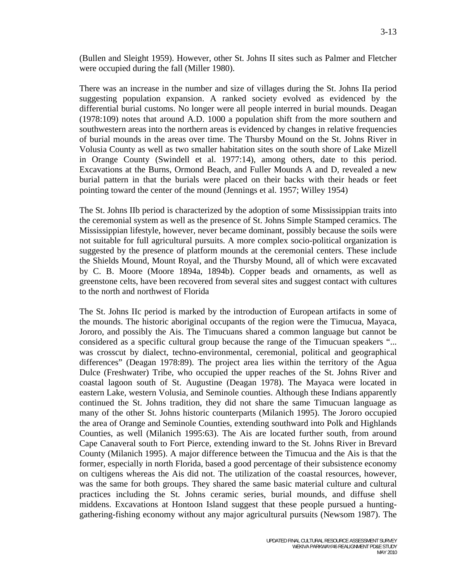(Bullen and Sleight 1959). However, other St. Johns II sites such as Palmer and Fletcher were occupied during the fall (Miller 1980).

There was an increase in the number and size of villages during the St. Johns IIa period suggesting population expansion. A ranked society evolved as evidenced by the differential burial customs. No longer were all people interred in burial mounds. Deagan (1978:109) notes that around A.D. 1000 a population shift from the more southern and southwestern areas into the northern areas is evidenced by changes in relative frequencies of burial mounds in the areas over time. The Thursby Mound on the St. Johns River in Volusia County as well as two smaller habitation sites on the south shore of Lake Mizell in Orange County (Swindell et al. 1977:14), among others, date to this period. Excavations at the Burns, Ormond Beach, and Fuller Mounds A and D, revealed a new burial pattern in that the burials were placed on their backs with their heads or feet pointing toward the center of the mound (Jennings et al. 1957; Willey 1954)

The St. Johns IIb period is characterized by the adoption of some Mississippian traits into the ceremonial system as well as the presence of St. Johns Simple Stamped ceramics. The Mississippian lifestyle, however, never became dominant, possibly because the soils were not suitable for full agricultural pursuits. A more complex socio-political organization is suggested by the presence of platform mounds at the ceremonial centers. These include the Shields Mound, Mount Royal, and the Thursby Mound, all of which were excavated by C. B. Moore (Moore 1894a, 1894b). Copper beads and ornaments, as well as greenstone celts, have been recovered from several sites and suggest contact with cultures to the north and northwest of Florida

The St. Johns IIc period is marked by the introduction of European artifacts in some of the mounds. The historic aboriginal occupants of the region were the Timucua, Mayaca, Jororo, and possibly the Ais. The Timucuans shared a common language but cannot be considered as a specific cultural group because the range of the Timucuan speakers "... was crosscut by dialect, techno-environmental, ceremonial, political and geographical differences" (Deagan 1978:89). The project area lies within the territory of the Agua Dulce (Freshwater) Tribe, who occupied the upper reaches of the St. Johns River and coastal lagoon south of St. Augustine (Deagan 1978). The Mayaca were located in eastern Lake, western Volusia, and Seminole counties. Although these Indians apparently continued the St. Johns tradition, they did not share the same Timucuan language as many of the other St. Johns historic counterparts (Milanich 1995). The Jororo occupied the area of Orange and Seminole Counties, extending southward into Polk and Highlands Counties, as well (Milanich 1995:63). The Ais are located further south, from around Cape Canaveral south to Fort Pierce, extending inward to the St. Johns River in Brevard County (Milanich 1995). A major difference between the Timucua and the Ais is that the former, especially in north Florida, based a good percentage of their subsistence economy on cultigens whereas the Ais did not. The utilization of the coastal resources, however, was the same for both groups. They shared the same basic material culture and cultural practices including the St. Johns ceramic series, burial mounds, and diffuse shell middens. Excavations at Hontoon Island suggest that these people pursued a huntinggathering-fishing economy without any major agricultural pursuits (Newsom 1987). The